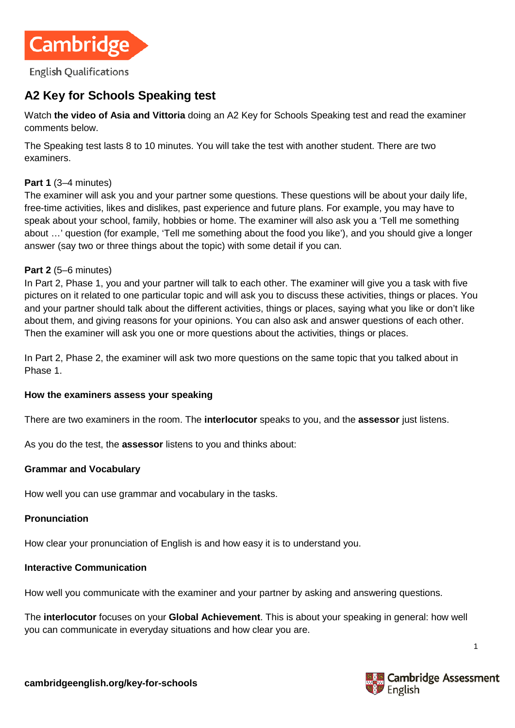

# **A2 Key for Schools Speaking test**

Watch **the video [of Asia and Vittoria](https://www.youtube.com/watch?v=ZjGt6r8XSTg)** doing an A2 Key for Schools Speaking test and read the examiner comments below.

The Speaking test lasts 8 to 10 minutes. You will take the test with another student. There are two examiners.

### **Part 1** (3–4 minutes)

The examiner will ask you and your partner some questions. These questions will be about your daily life, free-time activities, likes and dislikes, past experience and future plans. For example, you may have to speak about your school, family, hobbies or home. The examiner will also ask you a 'Tell me something about …' question (for example, 'Tell me something about the food you like'), and you should give a longer answer (say two or three things about the topic) with some detail if you can.

#### **Part 2** (5–6 minutes)

In Part 2, Phase 1, you and your partner will talk to each other. The examiner will give you a task with five pictures on it related to one particular topic and will ask you to discuss these activities, things or places. You and your partner should talk about the different activities, things or places, saying what you like or don't like about them, and giving reasons for your opinions. You can also ask and answer questions of each other. Then the examiner will ask you one or more questions about the activities, things or places.

In Part 2, Phase 2, the examiner will ask two more questions on the same topic that you talked about in Phase 1.

#### **How the examiners assess your speaking**

There are two examiners in the room. The **interlocutor** speaks to you, and the **assessor** just listens.

As you do the test, the **assessor** listens to you and thinks about:

#### **Grammar and Vocabulary**

How well you can use grammar and vocabulary in the tasks.

#### **Pronunciation**

How clear your pronunciation of English is and how easy it is to understand you.

### **Interactive Communication**

How well you communicate with the examiner and your partner by asking and answering questions.

The **interlocutor** focuses on your **Global Achievement**. This is about your speaking in general: how well you can communicate in everyday situations and how clear you are.



1

**cambridgeenglish.org/key-for-schools**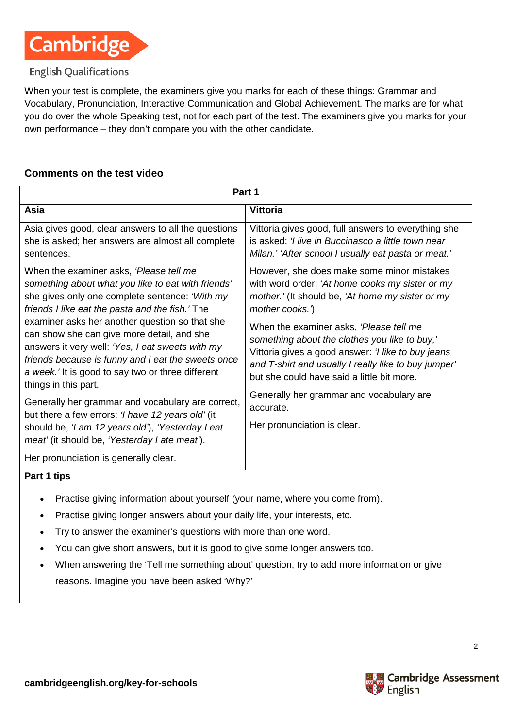

### **English Qualifications**

When your test is complete, the examiners give you marks for each of these things: Grammar and Vocabulary, Pronunciation, Interactive Communication and Global Achievement. The marks are for what you do over the whole Speaking test, not for each part of the test. The examiners give you marks for your own performance – they don't compare you with the other candidate.

### **Comments on the test video**

| Part 1                                                                                                                                                                                                                                                                                                                                                                                                                                                                                    |                                                                                                                                                                                                                                                      |  |  |
|-------------------------------------------------------------------------------------------------------------------------------------------------------------------------------------------------------------------------------------------------------------------------------------------------------------------------------------------------------------------------------------------------------------------------------------------------------------------------------------------|------------------------------------------------------------------------------------------------------------------------------------------------------------------------------------------------------------------------------------------------------|--|--|
| Asia                                                                                                                                                                                                                                                                                                                                                                                                                                                                                      | <b>Vittoria</b>                                                                                                                                                                                                                                      |  |  |
| Asia gives good, clear answers to all the questions<br>she is asked; her answers are almost all complete<br>sentences.                                                                                                                                                                                                                                                                                                                                                                    | Vittoria gives good, full answers to everything she<br>is asked: 'I live in Buccinasco a little town near<br>Milan.' 'After school I usually eat pasta or meat.'                                                                                     |  |  |
| When the examiner asks, 'Please tell me<br>something about what you like to eat with friends'<br>she gives only one complete sentence: 'With my<br>friends I like eat the pasta and the fish.' The<br>examiner asks her another question so that she<br>can show she can give more detail, and she<br>answers it very well: 'Yes, I eat sweets with my<br>friends because is funny and I eat the sweets once<br>a week.' It is good to say two or three different<br>things in this part. | However, she does make some minor mistakes<br>with word order: 'At home cooks my sister or my<br>mother.' (It should be, 'At home my sister or my<br>mother cooks.)                                                                                  |  |  |
|                                                                                                                                                                                                                                                                                                                                                                                                                                                                                           | When the examiner asks, 'Please tell me<br>something about the clothes you like to buy,'<br>Vittoria gives a good answer: 'I like to buy jeans<br>and T-shirt and usually I really like to buy jumper'<br>but she could have said a little bit more. |  |  |
| Generally her grammar and vocabulary are correct,<br>but there a few errors: ' <i>I have 12 years old'</i> (it<br>should be, 'I am 12 years old'), 'Yesterday I eat                                                                                                                                                                                                                                                                                                                       | Generally her grammar and vocabulary are<br>accurate.<br>Her pronunciation is clear.                                                                                                                                                                 |  |  |
| meat' (it should be, 'Yesterday I ate meat').<br>Her pronunciation is generally clear.                                                                                                                                                                                                                                                                                                                                                                                                    |                                                                                                                                                                                                                                                      |  |  |

### **Part 1 tips**

- Practise giving information about yourself (your name, where you come from).
- Practise giving longer answers about your daily life, your interests, etc.
- Try to answer the examiner's questions with more than one word.
- You can give short answers, but it is good to give some longer answers too.
- When answering the 'Tell me something about' question, try to add more information or give reasons. Imagine you have been asked 'Why?'

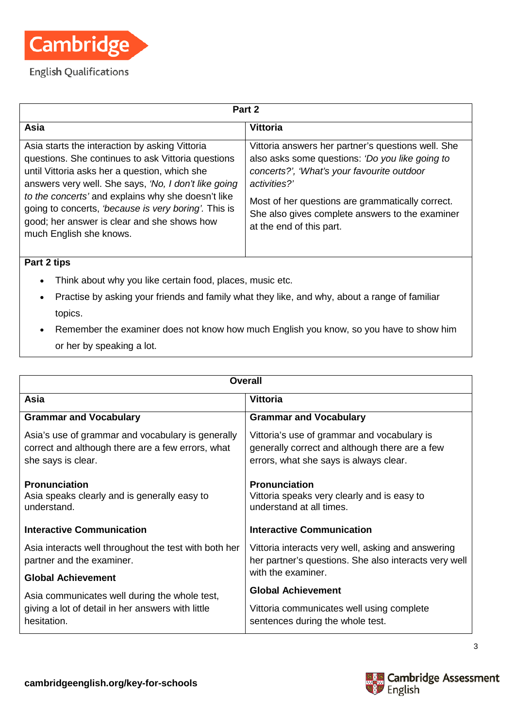

| Part 2                                                                                                                                                                                                                                                                                                                                                                                                |                                                                                                                                                                                                                                                                                                        |  |  |
|-------------------------------------------------------------------------------------------------------------------------------------------------------------------------------------------------------------------------------------------------------------------------------------------------------------------------------------------------------------------------------------------------------|--------------------------------------------------------------------------------------------------------------------------------------------------------------------------------------------------------------------------------------------------------------------------------------------------------|--|--|
| Asia                                                                                                                                                                                                                                                                                                                                                                                                  | <b>Vittoria</b>                                                                                                                                                                                                                                                                                        |  |  |
| Asia starts the interaction by asking Vittoria<br>questions. She continues to ask Vittoria questions<br>until Vittoria asks her a question, which she<br>answers very well. She says, 'No, I don't like going<br>to the concerts' and explains why she doesn't like<br>going to concerts, 'because is very boring'. This is<br>good; her answer is clear and she shows how<br>much English she knows. | Vittoria answers her partner's questions well. She<br>also asks some questions: 'Do you like going to<br>concerts?', 'What's your favourite outdoor<br>activities?'<br>Most of her questions are grammatically correct.<br>She also gives complete answers to the examiner<br>at the end of this part. |  |  |

## **Part 2 tips**

- Think about why you like certain food, places, music etc.
- Practise by asking your friends and family what they like, and why, about a range of familiar topics.
- Remember the examiner does not know how much English you know, so you have to show him or her by speaking a lot.

| Overall                                                                                                                      |                                                                                                                                         |  |
|------------------------------------------------------------------------------------------------------------------------------|-----------------------------------------------------------------------------------------------------------------------------------------|--|
| Asia                                                                                                                         | <b>Vittoria</b>                                                                                                                         |  |
| <b>Grammar and Vocabulary</b>                                                                                                | <b>Grammar and Vocabulary</b>                                                                                                           |  |
| Asia's use of grammar and vocabulary is generally<br>correct and although there are a few errors, what<br>she says is clear. | Vittoria's use of grammar and vocabulary is<br>generally correct and although there are a few<br>errors, what she says is always clear. |  |
| <b>Pronunciation</b><br>Asia speaks clearly and is generally easy to<br>understand.                                          | <b>Pronunciation</b><br>Vittoria speaks very clearly and is easy to<br>understand at all times.                                         |  |
| <b>Interactive Communication</b>                                                                                             | <b>Interactive Communication</b>                                                                                                        |  |
| Asia interacts well throughout the test with both her<br>partner and the examiner.                                           | Vittoria interacts very well, asking and answering<br>her partner's questions. She also interacts very well                             |  |
| <b>Global Achievement</b>                                                                                                    | with the examiner.                                                                                                                      |  |
| Asia communicates well during the whole test,<br>giving a lot of detail in her answers with little<br>hesitation.            | <b>Global Achievement</b>                                                                                                               |  |
|                                                                                                                              | Vittoria communicates well using complete<br>sentences during the whole test.                                                           |  |



3